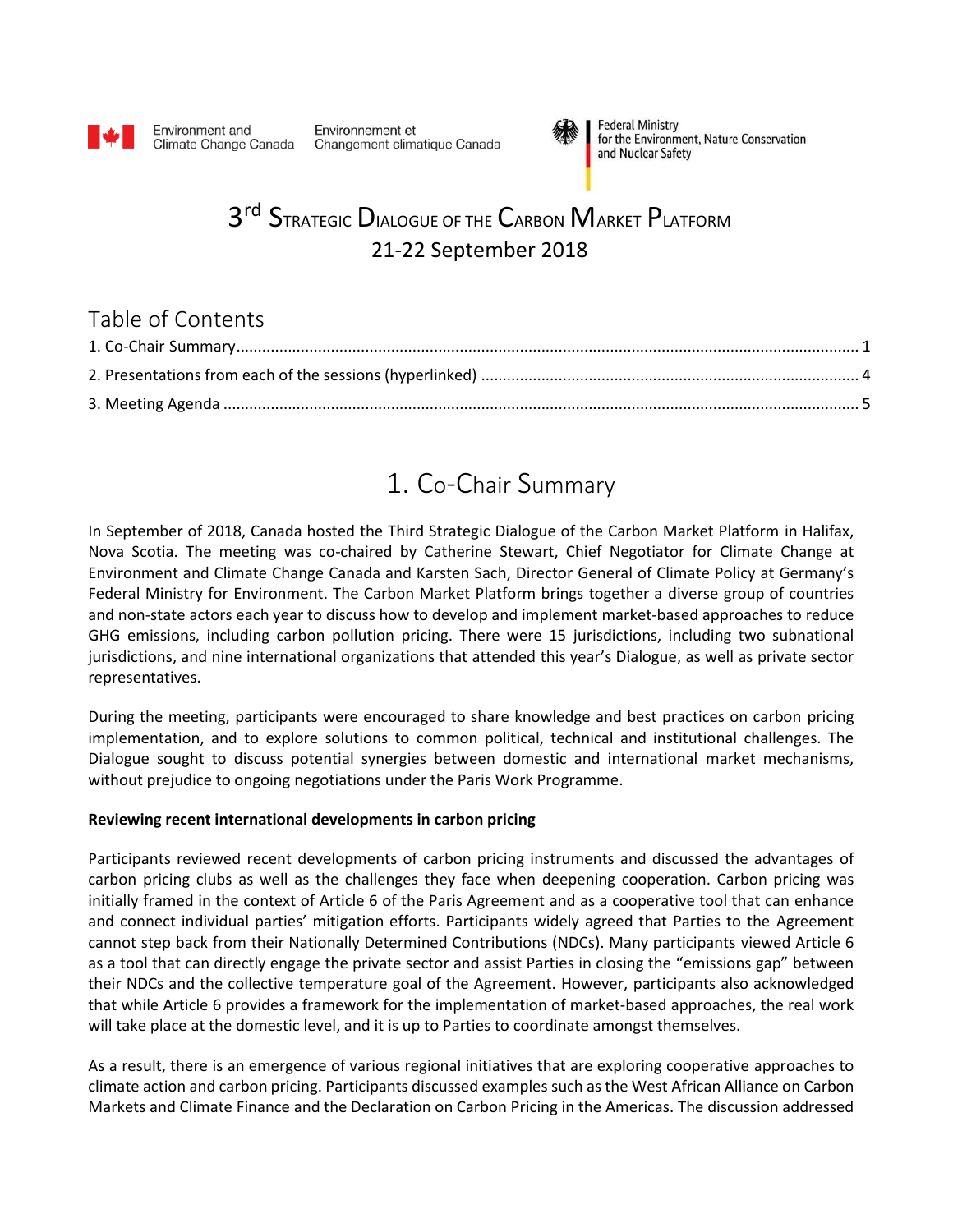

Environment and Climate Change Canada

Environnement et Changement climatique Canada



**Federal Ministry** for the Environment, Nature Conservation and Nuclear Safety

# 3<sup>rd</sup> Strategic Dialogue of the Carbon Market Platform 21-22 September 2018

### Table of Contents

# 1. Co-Chair Summary

<span id="page-0-0"></span>In September of 2018, Canada hosted the Third Strategic Dialogue of the Carbon Market Platform in Halifax, Nova Scotia. The meeting was co-chaired by Catherine Stewart, Chief Negotiator for Climate Change at Environment and Climate Change Canada and Karsten Sach, Director General of Climate Policy at Germany's Federal Ministry for Environment. The Carbon Market Platform brings together a diverse group of countries and non-state actors each year to discuss how to develop and implement market-based approaches to reduce GHG emissions, including carbon pollution pricing. There were 15 jurisdictions, including two subnational jurisdictions, and nine international organizations that attended this year's Dialogue, as well as private sector representatives.

During the meeting, participants were encouraged to share knowledge and best practices on carbon pricing implementation, and to explore solutions to common political, technical and institutional challenges. The Dialogue sought to discuss potential synergies between domestic and international market mechanisms, without prejudice to ongoing negotiations under the Paris Work Programme.

#### **Reviewing recent international developments in carbon pricing**

Participants reviewed recent developments of carbon pricing instruments and discussed the advantages of carbon pricing clubs as well as the challenges they face when deepening cooperation. Carbon pricing was initially framed in the context of Article 6 of the Paris Agreement and as a cooperative tool that can enhance and connect individual parties' mitigation efforts. Participants widely agreed that Parties to the Agreement cannot step back from their Nationally Determined Contributions (NDCs). Many participants viewed Article 6 as a tool that can directly engage the private sector and assist Parties in closing the "emissions gap" between their NDCs and the collective temperature goal of the Agreement. However, participants also acknowledged that while Article 6 provides a framework for the implementation of market-based approaches, the real work will take place at the domestic level, and it is up to Parties to coordinate amongst themselves.

As a result, there is an emergence of various regional initiatives that are exploring cooperative approaches to climate action and carbon pricing. Participants discussed examples such as the West African Alliance on Carbon Markets and Climate Finance and the Declaration on Carbon Pricing in the Americas. The discussion addressed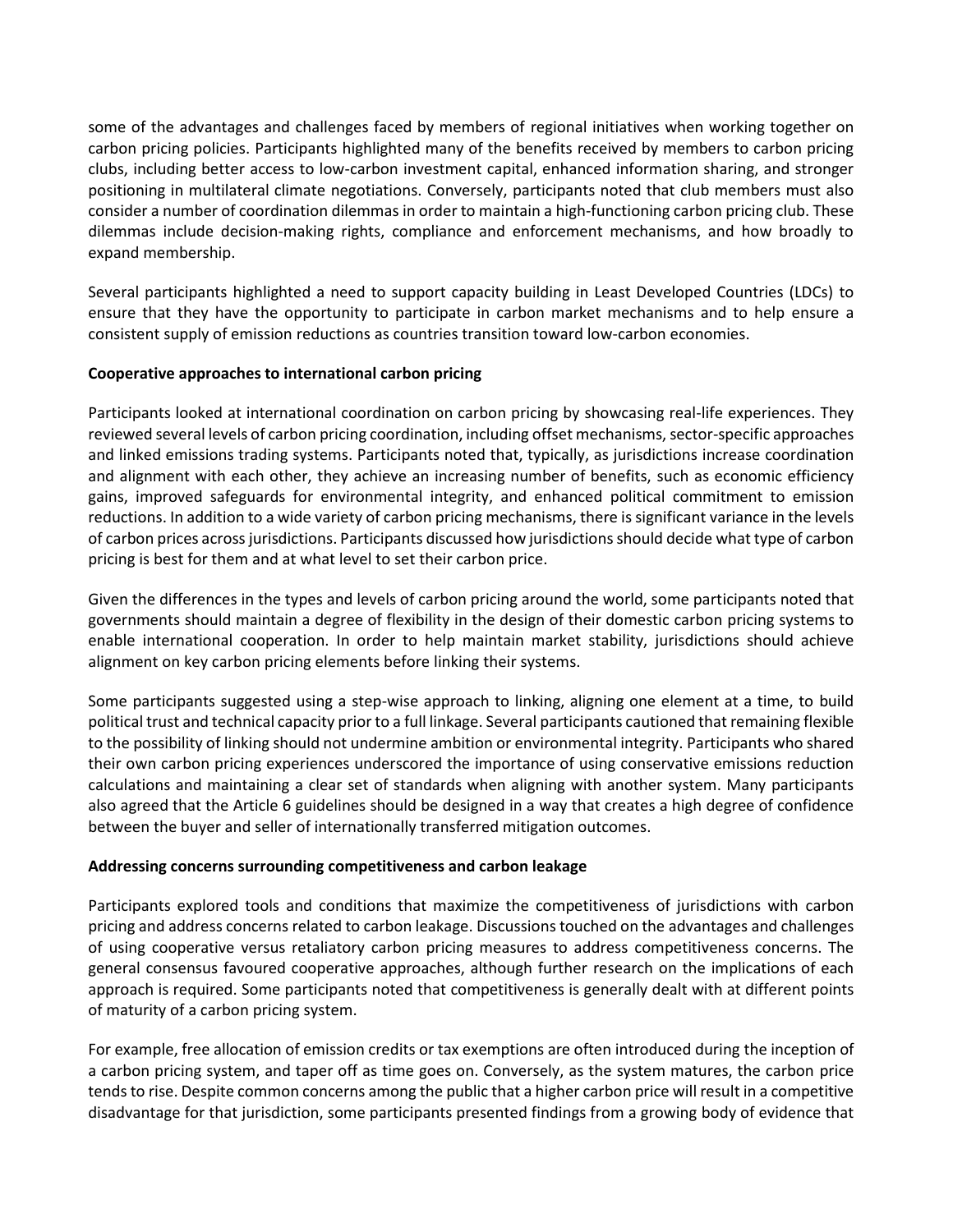some of the advantages and challenges faced by members of regional initiatives when working together on carbon pricing policies. Participants highlighted many of the benefits received by members to carbon pricing clubs, including better access to low-carbon investment capital, enhanced information sharing, and stronger positioning in multilateral climate negotiations. Conversely, participants noted that club members must also consider a number of coordination dilemmas in order to maintain a high-functioning carbon pricing club. These dilemmas include decision-making rights, compliance and enforcement mechanisms, and how broadly to expand membership.

Several participants highlighted a need to support capacity building in Least Developed Countries (LDCs) to ensure that they have the opportunity to participate in carbon market mechanisms and to help ensure a consistent supply of emission reductions as countries transition toward low-carbon economies.

#### **Cooperative approaches to international carbon pricing**

Participants looked at international coordination on carbon pricing by showcasing real-life experiences. They reviewed several levels of carbon pricing coordination, including offset mechanisms, sector-specific approaches and linked emissions trading systems. Participants noted that, typically, as jurisdictions increase coordination and alignment with each other, they achieve an increasing number of benefits, such as economic efficiency gains, improved safeguards for environmental integrity, and enhanced political commitment to emission reductions. In addition to a wide variety of carbon pricing mechanisms, there is significant variance in the levels of carbon prices across jurisdictions. Participants discussed how jurisdictions should decide what type of carbon pricing is best for them and at what level to set their carbon price.

Given the differences in the types and levels of carbon pricing around the world, some participants noted that governments should maintain a degree of flexibility in the design of their domestic carbon pricing systems to enable international cooperation. In order to help maintain market stability, jurisdictions should achieve alignment on key carbon pricing elements before linking their systems.

Some participants suggested using a step-wise approach to linking, aligning one element at a time, to build political trust and technical capacity prior to a full linkage. Several participants cautioned that remaining flexible to the possibility of linking should not undermine ambition or environmental integrity. Participants who shared their own carbon pricing experiences underscored the importance of using conservative emissions reduction calculations and maintaining a clear set of standards when aligning with another system. Many participants also agreed that the Article 6 guidelines should be designed in a way that creates a high degree of confidence between the buyer and seller of internationally transferred mitigation outcomes.

#### **Addressing concerns surrounding competitiveness and carbon leakage**

Participants explored tools and conditions that maximize the competitiveness of jurisdictions with carbon pricing and address concerns related to carbon leakage. Discussions touched on the advantages and challenges of using cooperative versus retaliatory carbon pricing measures to address competitiveness concerns. The general consensus favoured cooperative approaches, although further research on the implications of each approach is required. Some participants noted that competitiveness is generally dealt with at different points of maturity of a carbon pricing system.

For example, free allocation of emission credits or tax exemptions are often introduced during the inception of a carbon pricing system, and taper off as time goes on. Conversely, as the system matures, the carbon price tends to rise. Despite common concerns among the public that a higher carbon price will result in a competitive disadvantage for that jurisdiction, some participants presented findings from a growing body of evidence that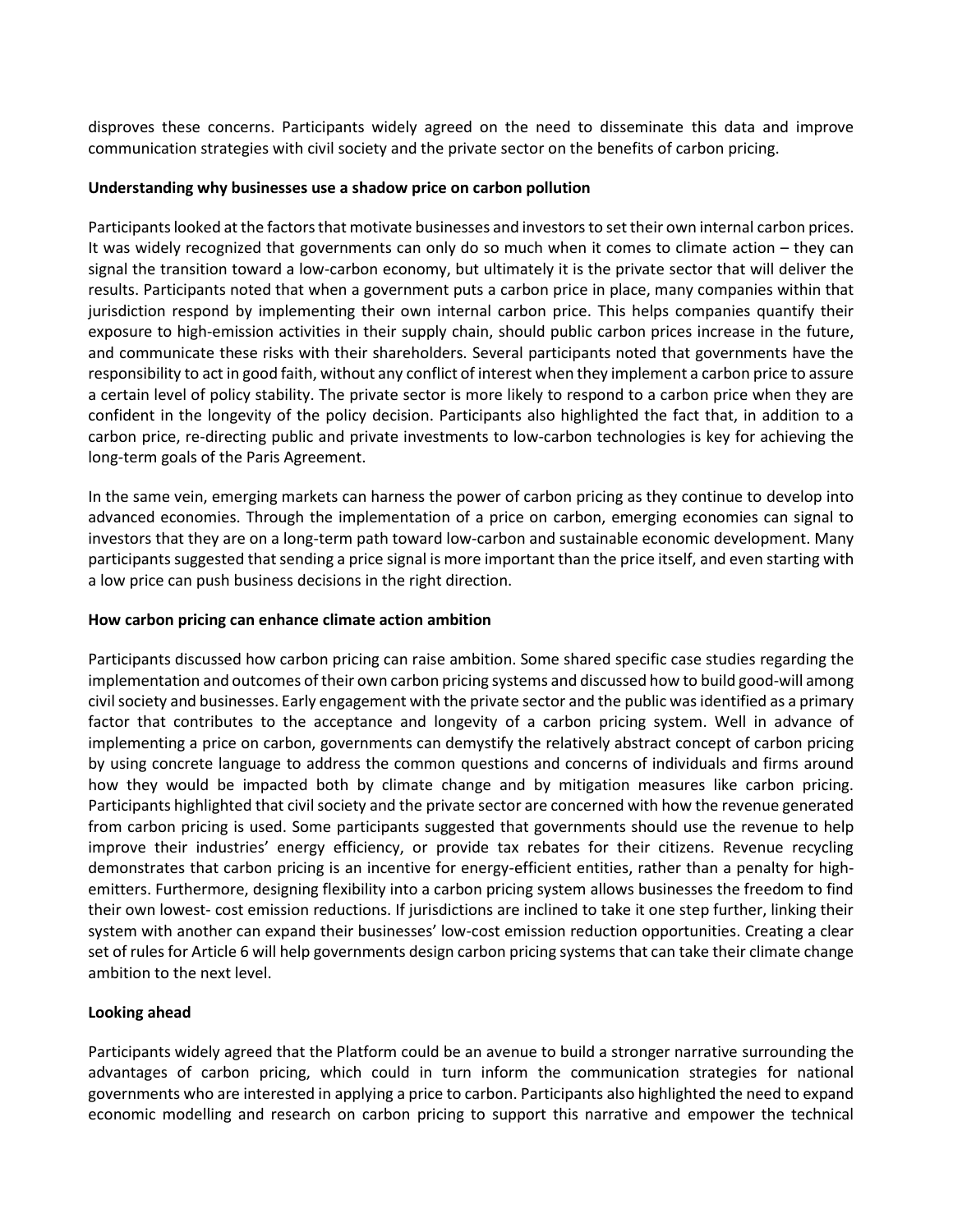disproves these concerns. Participants widely agreed on the need to disseminate this data and improve communication strategies with civil society and the private sector on the benefits of carbon pricing.

#### **Understanding why businesses use a shadow price on carbon pollution**

Participants looked at the factors that motivate businesses and investors to set their own internal carbon prices. It was widely recognized that governments can only do so much when it comes to climate action – they can signal the transition toward a low-carbon economy, but ultimately it is the private sector that will deliver the results. Participants noted that when a government puts a carbon price in place, many companies within that jurisdiction respond by implementing their own internal carbon price. This helps companies quantify their exposure to high-emission activities in their supply chain, should public carbon prices increase in the future, and communicate these risks with their shareholders. Several participants noted that governments have the responsibility to act in good faith, without any conflict of interest when they implement a carbon price to assure a certain level of policy stability. The private sector is more likely to respond to a carbon price when they are confident in the longevity of the policy decision. Participants also highlighted the fact that, in addition to a carbon price, re-directing public and private investments to low-carbon technologies is key for achieving the long-term goals of the Paris Agreement.

In the same vein, emerging markets can harness the power of carbon pricing as they continue to develop into advanced economies. Through the implementation of a price on carbon, emerging economies can signal to investors that they are on a long-term path toward low-carbon and sustainable economic development. Many participants suggested that sending a price signal is more important than the price itself, and even starting with a low price can push business decisions in the right direction.

#### **How carbon pricing can enhance climate action ambition**

Participants discussed how carbon pricing can raise ambition. Some shared specific case studies regarding the implementation and outcomes of their own carbon pricing systems and discussed how to build good-will among civil society and businesses. Early engagement with the private sector and the public was identified as a primary factor that contributes to the acceptance and longevity of a carbon pricing system. Well in advance of implementing a price on carbon, governments can demystify the relatively abstract concept of carbon pricing by using concrete language to address the common questions and concerns of individuals and firms around how they would be impacted both by climate change and by mitigation measures like carbon pricing. Participants highlighted that civil society and the private sector are concerned with how the revenue generated from carbon pricing is used. Some participants suggested that governments should use the revenue to help improve their industries' energy efficiency, or provide tax rebates for their citizens. Revenue recycling demonstrates that carbon pricing is an incentive for energy-efficient entities, rather than a penalty for highemitters. Furthermore, designing flexibility into a carbon pricing system allows businesses the freedom to find their own lowest- cost emission reductions. If jurisdictions are inclined to take it one step further, linking their system with another can expand their businesses' low-cost emission reduction opportunities. Creating a clear set of rules for Article 6 will help governments design carbon pricing systems that can take their climate change ambition to the next level.

#### **Looking ahead**

Participants widely agreed that the Platform could be an avenue to build a stronger narrative surrounding the advantages of carbon pricing, which could in turn inform the communication strategies for national governments who are interested in applying a price to carbon. Participants also highlighted the need to expand economic modelling and research on carbon pricing to support this narrative and empower the technical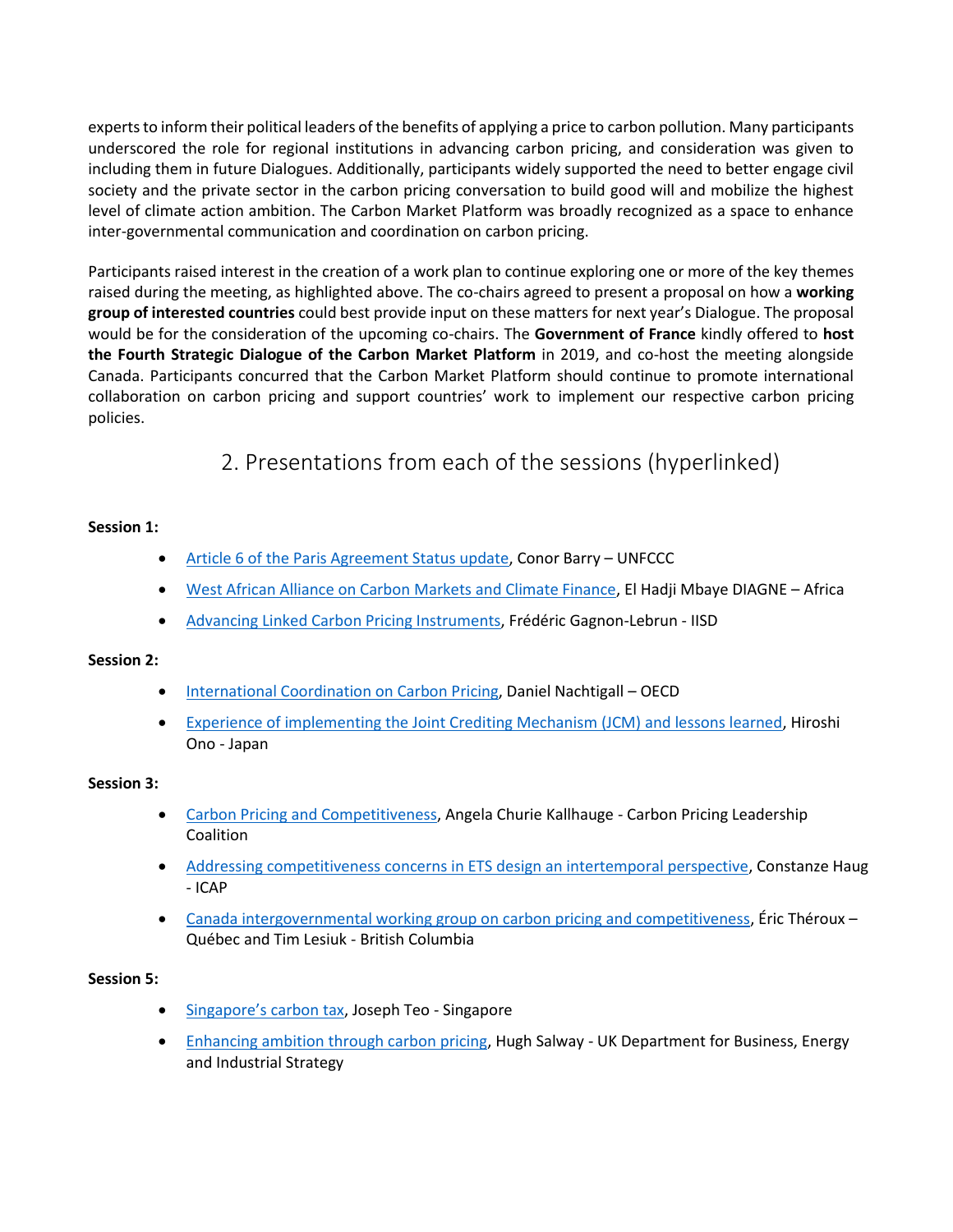experts to inform their political leaders of the benefits of applying a price to carbon pollution. Many participants underscored the role for regional institutions in advancing carbon pricing, and consideration was given to including them in future Dialogues. Additionally, participants widely supported the need to better engage civil society and the private sector in the carbon pricing conversation to build good will and mobilize the highest level of climate action ambition. The Carbon Market Platform was broadly recognized as a space to enhance inter-governmental communication and coordination on carbon pricing.

Participants raised interest in the creation of a work plan to continue exploring one or more of the key themes raised during the meeting, as highlighted above. The co-chairs agreed to present a proposal on how a **working group of interested countries** could best provide input on these matters for next year's Dialogue. The proposal would be for the consideration of the upcoming co-chairs. The **Government of France** kindly offered to **host the Fourth Strategic Dialogue of the Carbon Market Platform** in 2019, and co-host the meeting alongside Canada. Participants concurred that the Carbon Market Platform should continue to promote international collaboration on carbon pricing and support countries' work to implement our respective carbon pricing policies.

### 2. Presentations from each of the sessions (hyperlinked)

#### <span id="page-3-0"></span>**Session 1:**

- [Article 6 of the Paris Agreement Status update,](https://www.slideshare.net/OECD_ENV/article-6-of-the-paris-agreement-status-update-conor-barry-unfccc) Conor Barry UNFCCC
- [West African Alliance on Carbon Markets and Climate Finance,](https://www.slideshare.net/OECD_ENV/west-african-alliance-on-carbon-markets-and-climate-finance-el-hadji-mbaye-diagne) El Hadji Mbaye DIAGNE Africa
- [Advancing Linked Carbon Pricing Instruments,](https://www.slideshare.net/OECD_ENV/advancing-linked-carbon-pricing-instruments-frdric-gagnonlebrun-iisd) Frédéric Gagnon-Lebrun IISD

#### **Session 2:**

- [International Coordination on Carbon Pricing,](https://www.slideshare.net/OECD_ENV/international-coordination-on-carbon-pricing-daniel-nachtigall-oecd) Daniel Nachtigall OECD
- [Experience of implementing the Joint Crediting Mechanism \(JCM\) and lessons learned,](https://www.slideshare.net/OECD_ENV/experience-of-implementing-the-joint-crediting-mechanism-jcm-and-lessons-learned-hiroshi-ono-japan) Hiroshi Ono - Japan

#### **Session 3:**

- [Carbon Pricing and Competitiveness,](https://www.slideshare.net/OECD_ENV/carbon-pricing-and-competitiveness-angela-churie-kallhauge-carbon-pricing-leadership-coalition) Angela Churie Kallhauge Carbon Pricing Leadership Coalition
- [Addressing competitiveness concerns in ETS design an intertemporal perspective,](https://www.slideshare.net/OECD_ENV/addressing-competitiveness-concerns-in-ets-design-an-intertemporal-perspective-constanze-haug-icap) Constanze Haug - ICAP
- [Canada intergovernmental working group on carbon pricing and competitiveness,](https://www.slideshare.net/OECD_ENV/canada-intergovernmental-working-group-on-carbon-pricing-and-competitiveness-ric-throux-qubec-and-tim-lesiuk-british-columbia) Éric Théroux Québec and Tim Lesiuk - British Columbia

#### **Session 5:**

- [Singapore's carbon tax](https://www.slideshare.net/OECD_ENV/singapores-carbon-tax-joseph-teo-singapore), Joseph Teo Singapore
- [Enhancing ambition through carbon pricing,](https://www.slideshare.net/OECD_ENV/enhancing-ambition-through-carbon-pricing-hugh-salway-uk-department-for-business-energy-and-industrial-strategy) Hugh Salway UK Department for Business, Energy and Industrial Strategy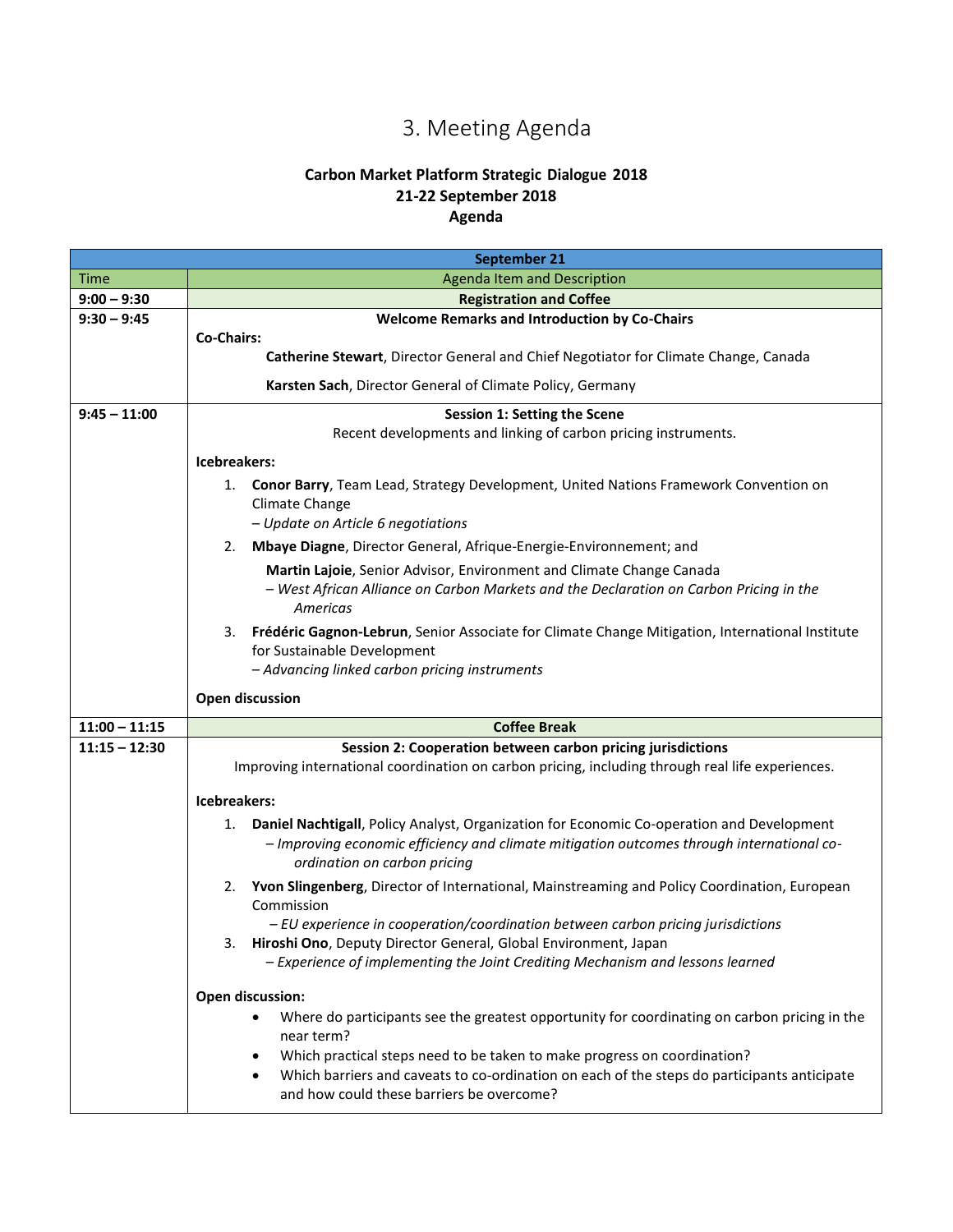# 3. Meeting Agenda

### **Carbon Market Platform Strategic Dialogue 2018 21-22 September 2018 Agenda**

<span id="page-4-0"></span>

|                 | September 21                                                                                                                                                                                                                 |
|-----------------|------------------------------------------------------------------------------------------------------------------------------------------------------------------------------------------------------------------------------|
| Time            | Agenda Item and Description                                                                                                                                                                                                  |
| $9:00 - 9:30$   | <b>Registration and Coffee</b>                                                                                                                                                                                               |
| $9:30 - 9:45$   | <b>Welcome Remarks and Introduction by Co-Chairs</b>                                                                                                                                                                         |
|                 | <b>Co-Chairs:</b>                                                                                                                                                                                                            |
|                 | Catherine Stewart, Director General and Chief Negotiator for Climate Change, Canada                                                                                                                                          |
|                 | Karsten Sach, Director General of Climate Policy, Germany                                                                                                                                                                    |
| $9:45 - 11:00$  | <b>Session 1: Setting the Scene</b>                                                                                                                                                                                          |
|                 | Recent developments and linking of carbon pricing instruments.                                                                                                                                                               |
|                 | Icebreakers:                                                                                                                                                                                                                 |
|                 | Conor Barry, Team Lead, Strategy Development, United Nations Framework Convention on<br>1.<br>Climate Change<br>- Update on Article 6 negotiations                                                                           |
|                 | Mbaye Diagne, Director General, Afrique-Energie-Environnement; and<br>2.                                                                                                                                                     |
|                 | Martin Lajoie, Senior Advisor, Environment and Climate Change Canada                                                                                                                                                         |
|                 | - West African Alliance on Carbon Markets and the Declaration on Carbon Pricing in the<br>Americas                                                                                                                           |
|                 | Frédéric Gagnon-Lebrun, Senior Associate for Climate Change Mitigation, International Institute<br>3.<br>for Sustainable Development<br>- Advancing linked carbon pricing instruments                                        |
|                 | <b>Open discussion</b>                                                                                                                                                                                                       |
| $11:00 - 11:15$ | <b>Coffee Break</b>                                                                                                                                                                                                          |
| $11:15 - 12:30$ | Session 2: Cooperation between carbon pricing jurisdictions                                                                                                                                                                  |
|                 | Improving international coordination on carbon pricing, including through real life experiences.                                                                                                                             |
|                 | Icebreakers:                                                                                                                                                                                                                 |
|                 | Daniel Nachtigall, Policy Analyst, Organization for Economic Co-operation and Development<br>1.<br>- Improving economic efficiency and climate mitigation outcomes through international co-<br>ordination on carbon pricing |
|                 | Yvon Slingenberg, Director of International, Mainstreaming and Policy Coordination, European<br>2.<br>Commission                                                                                                             |
|                 | - EU experience in cooperation/coordination between carbon pricing jurisdictions                                                                                                                                             |
|                 | Hiroshi Ono, Deputy Director General, Global Environment, Japan<br>3.<br>- Experience of implementing the Joint Crediting Mechanism and lessons learned                                                                      |
|                 | Open discussion:                                                                                                                                                                                                             |
|                 | Where do participants see the greatest opportunity for coordinating on carbon pricing in the<br>near term?                                                                                                                   |
|                 | Which practical steps need to be taken to make progress on coordination?<br>٠                                                                                                                                                |
|                 | Which barriers and caveats to co-ordination on each of the steps do participants anticipate<br>$\bullet$<br>and how could these barriers be overcome?                                                                        |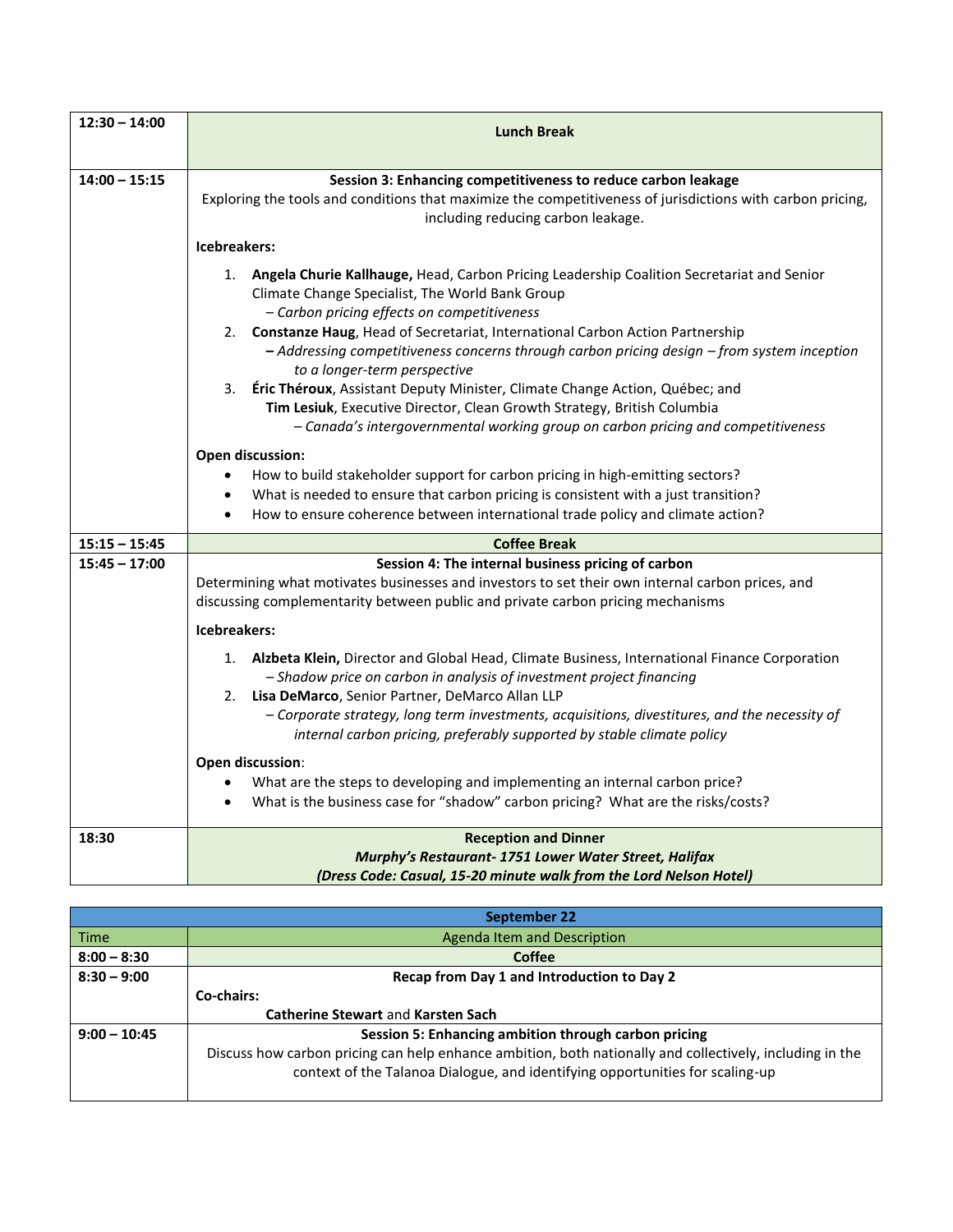| $12:30 - 14:00$ | <b>Lunch Break</b>                                                                                                                                                                                                                                                               |
|-----------------|----------------------------------------------------------------------------------------------------------------------------------------------------------------------------------------------------------------------------------------------------------------------------------|
| $14:00 - 15:15$ | Session 3: Enhancing competitiveness to reduce carbon leakage<br>Exploring the tools and conditions that maximize the competitiveness of jurisdictions with carbon pricing,<br>including reducing carbon leakage.                                                                |
|                 | Icebreakers:                                                                                                                                                                                                                                                                     |
|                 | 1. Angela Churie Kallhauge, Head, Carbon Pricing Leadership Coalition Secretariat and Senior<br>Climate Change Specialist, The World Bank Group<br>- Carbon pricing effects on competitiveness                                                                                   |
|                 | Constanze Haug, Head of Secretariat, International Carbon Action Partnership<br>2.<br>- Addressing competitiveness concerns through carbon pricing design - from system inception                                                                                                |
|                 | to a longer-term perspective<br>Éric Théroux, Assistant Deputy Minister, Climate Change Action, Québec; and<br>3.<br>Tim Lesiuk, Executive Director, Clean Growth Strategy, British Columbia<br>- Canada's intergovernmental working group on carbon pricing and competitiveness |
|                 | Open discussion:                                                                                                                                                                                                                                                                 |
|                 | How to build stakeholder support for carbon pricing in high-emitting sectors?<br>$\bullet$<br>What is needed to ensure that carbon pricing is consistent with a just transition?<br>٠<br>How to ensure coherence between international trade policy and climate action?          |
| $15:15 - 15:45$ | <b>Coffee Break</b>                                                                                                                                                                                                                                                              |
| $15:45 - 17:00$ | Session 4: The internal business pricing of carbon<br>Determining what motivates businesses and investors to set their own internal carbon prices, and<br>discussing complementarity between public and private carbon pricing mechanisms                                        |
|                 | Icebreakers:                                                                                                                                                                                                                                                                     |
|                 | 1. Alzbeta Klein, Director and Global Head, Climate Business, International Finance Corporation<br>- Shadow price on carbon in analysis of investment project financing<br>Lisa DeMarco, Senior Partner, DeMarco Allan LLP<br>2.                                                 |
|                 | - Corporate strategy, long term investments, acquisitions, divestitures, and the necessity of<br>internal carbon pricing, preferably supported by stable climate policy                                                                                                          |
|                 | Open discussion:                                                                                                                                                                                                                                                                 |
|                 | What are the steps to developing and implementing an internal carbon price?<br>What is the business case for "shadow" carbon pricing? What are the risks/costs?                                                                                                                  |
| 18:30           | <b>Reception and Dinner</b><br>Murphy's Restaurant- 1751 Lower Water Street, Halifax<br>(Dress Code: Casual, 15-20 minute walk from the Lord Nelson Hotel)                                                                                                                       |

|                | <b>September 22</b>                                                                                      |
|----------------|----------------------------------------------------------------------------------------------------------|
| Time           | Agenda Item and Description                                                                              |
| $8:00 - 8:30$  | <b>Coffee</b>                                                                                            |
| $8:30 - 9:00$  | Recap from Day 1 and Introduction to Day 2                                                               |
|                | Co-chairs:                                                                                               |
|                | <b>Catherine Stewart and Karsten Sach</b>                                                                |
| $9:00 - 10:45$ | Session 5: Enhancing ambition through carbon pricing                                                     |
|                | Discuss how carbon pricing can help enhance ambition, both nationally and collectively, including in the |
|                | context of the Talanoa Dialogue, and identifying opportunities for scaling-up                            |
|                |                                                                                                          |